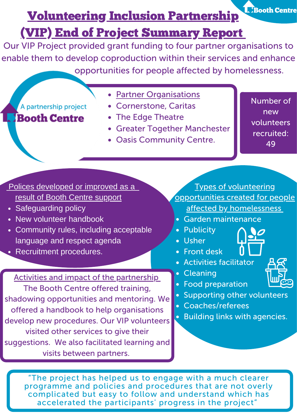**L. Booth Centre** 

# Volunteering Inclusion Partnership

# (VIP) End of Project Summary Report

Our VIP Project provided grant funding to four partner organisations to enable them to develop coproduction within their services and enhance opportunities for people affected by homelessness.

A partnership project **Booth Centre** 

- Partner Organisations
- Cornerstone, Caritas
- The Edge Theatre
- Greater Together Manchester
- Oasis Community Centre.

Number of new volunteers recruited: 49

Polices developed or improved as a result of Booth Centre support

- 
- New volunteer handbook
- Community rules, including acceptable language and respect agenda
- **Recruitment procedures.**

Activities and impact of the partnership The Booth Centre offered training, shadowing opportunities and mentoring. We offered a handbook to help organisations develop new procedures. Our VIP volunteers visited other services to give their suggestions. We also facilitated learning and visits between partners.

Types of volunteering opportunities created for people • Safeguarding policy and the state of the state of the state of the state of the state of the state of the state of the state of the state of the state of the state of the state of the state of the state of the state of t

- Garden maintenance
- Publicity
- Usher
- Front desk
- Activities facilitator
- **•** Cleaning
- Food preparation
- Supporting other volunteers
- Coaches/referees
- **Building links with agencies.**



"The project has helped us to engage with a much clearer programme and policies and procedures that are not overly complicated but easy to follow and understand which has accelerated the participants' progress in the project"